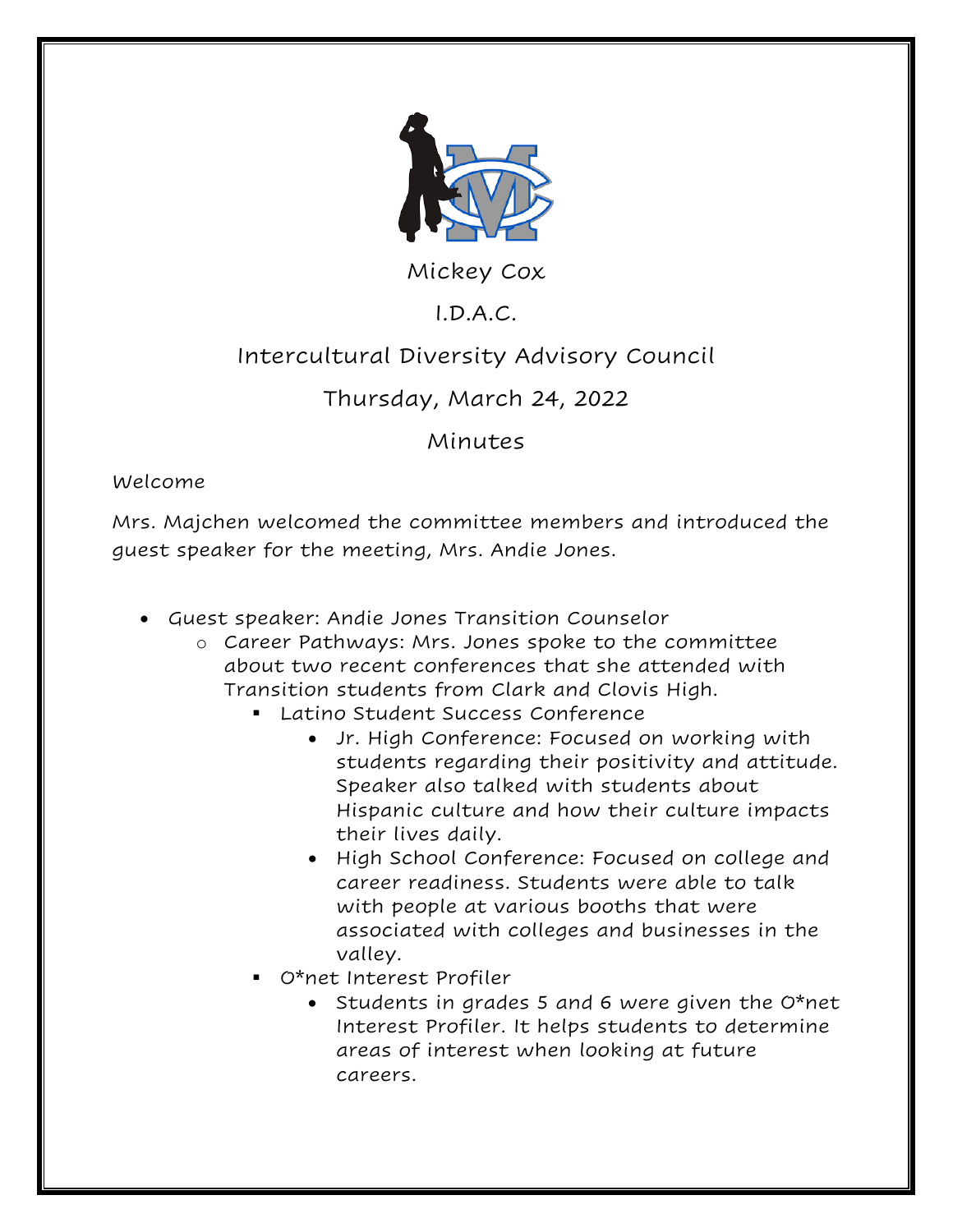

Mickey Cox

# I.D.A.C.

## Intercultural Diversity Advisory Council

## Thursday, March 24, 2022

### Minutes

#### Welcome

Mrs. Majchen welcomed the committee members and introduced the guest speaker for the meeting, Mrs. Andie Jones.

- Guest speaker: Andie Jones Transition Counselor
	- o Career Pathways: Mrs. Jones spoke to the committee about two recent conferences that she attended with Transition students from Clark and Clovis High.
		- Latino Student Success Conference
			- Jr. High Conference: Focused on working with students regarding their positivity and attitude. Speaker also talked with students about Hispanic culture and how their culture impacts their lives daily.
			- High School Conference: Focused on college and career readiness. Students were able to talk with people at various booths that were associated with colleges and businesses in the valley.
		- O\*net Interest Profiler
			- Students in grades 5 and 6 were given the O\*net Interest Profiler. It helps students to determine areas of interest when looking at future careers.